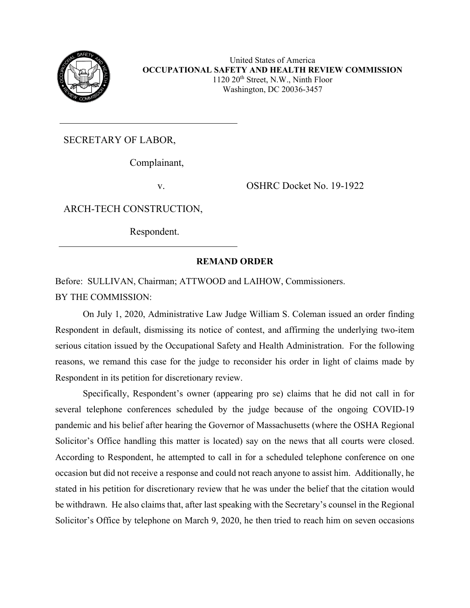

United States of America **OCCUPATIONAL SAFETY AND HEALTH REVIEW COMMISSION**  $1120 20<sup>th</sup>$  Street, N.W., Ninth Floor Washington, DC 20036-3457

SECRETARY OF LABOR,

Complainant,

v. **OSHRC Docket No. 19-1922** 

ARCH-TECH CONSTRUCTION,

Respondent.

## **REMAND ORDER**

Before: SULLIVAN, Chairman; ATTWOOD and LAIHOW, Commissioners. BY THE COMMISSION:

On July 1, 2020, Administrative Law Judge William S. Coleman issued an order finding Respondent in default, dismissing its notice of contest, and affirming the underlying two-item serious citation issued by the Occupational Safety and Health Administration. For the following reasons, we remand this case for the judge to reconsider his order in light of claims made by Respondent in its petition for discretionary review.

Specifically, Respondent's owner (appearing pro se) claims that he did not call in for several telephone conferences scheduled by the judge because of the ongoing COVID-19 pandemic and his belief after hearing the Governor of Massachusetts (where the OSHA Regional Solicitor's Office handling this matter is located) say on the news that all courts were closed. According to Respondent, he attempted to call in for a scheduled telephone conference on one occasion but did not receive a response and could not reach anyone to assist him. Additionally, he stated in his petition for discretionary review that he was under the belief that the citation would be withdrawn. He also claims that, after last speaking with the Secretary's counsel in the Regional Solicitor's Office by telephone on March 9, 2020, he then tried to reach him on seven occasions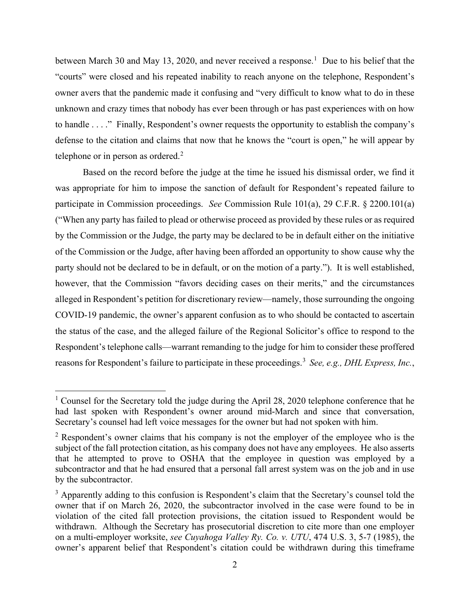between March 30 and May [1](#page-1-0)3, 2020, and never received a response.<sup>1</sup> Due to his belief that the "courts" were closed and his repeated inability to reach anyone on the telephone, Respondent's owner avers that the pandemic made it confusing and "very difficult to know what to do in these unknown and crazy times that nobody has ever been through or has past experiences with on how to handle . . . ." Finally, Respondent's owner requests the opportunity to establish the company's defense to the citation and claims that now that he knows the "court is open," he will appear by telephone or in person as ordered. $2$ 

Based on the record before the judge at the time he issued his dismissal order, we find it was appropriate for him to impose the sanction of default for Respondent's repeated failure to participate in Commission proceedings. *See* Commission Rule 101(a), 29 C.F.R. § 2200.101(a) ("When any party has failed to plead or otherwise proceed as provided by these rules or as required by the Commission or the Judge, the party may be declared to be in default either on the initiative of the Commission or the Judge, after having been afforded an opportunity to show cause why the party should not be declared to be in default, or on the motion of a party."). It is well established, however, that the Commission "favors deciding cases on their merits," and the circumstances alleged in Respondent's petition for discretionary review—namely, those surrounding the ongoing COVID-19 pandemic, the owner's apparent confusion as to who should be contacted to ascertain the status of the case, and the alleged failure of the Regional Solicitor's office to respond to the Respondent's telephone calls—warrant remanding to the judge for him to consider these proffered reasons for Respondent's failure to participate in these proceedings.[3](#page-1-2) *See, e.g., DHL Express, Inc.*,

<span id="page-1-0"></span><sup>&</sup>lt;sup>1</sup> Counsel for the Secretary told the judge during the April 28, 2020 telephone conference that he had last spoken with Respondent's owner around mid-March and since that conversation, Secretary's counsel had left voice messages for the owner but had not spoken with him.

<span id="page-1-1"></span> $2$  Respondent's owner claims that his company is not the employer of the employee who is the subject of the fall protection citation, as his company does not have any employees. He also asserts that he attempted to prove to OSHA that the employee in question was employed by a subcontractor and that he had ensured that a personal fall arrest system was on the job and in use by the subcontractor.

<span id="page-1-2"></span><sup>&</sup>lt;sup>3</sup> Apparently adding to this confusion is Respondent's claim that the Secretary's counsel told the owner that if on March 26, 2020, the subcontractor involved in the case were found to be in violation of the cited fall protection provisions, the citation issued to Respondent would be withdrawn. Although the Secretary has prosecutorial discretion to cite more than one employer on a multi-employer worksite, *see Cuyahoga Valley Ry. Co. v. UTU*, 474 U.S. 3, 5-7 (1985), the owner's apparent belief that Respondent's citation could be withdrawn during this timeframe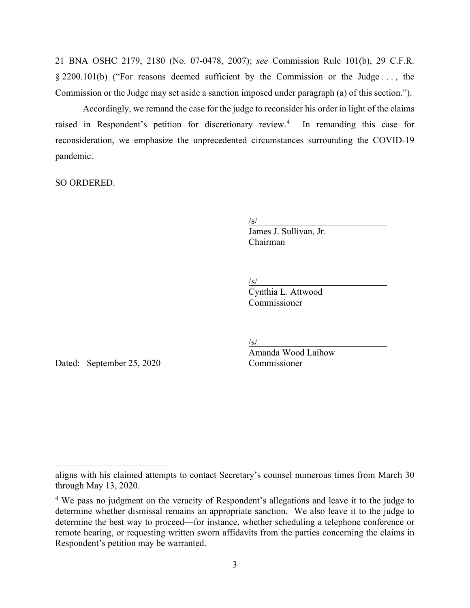21 BNA OSHC 2179, 2180 (No. 07-0478, 2007); *see* Commission Rule 101(b), 29 C.F.R. § 2200.101(b) ("For reasons deemed sufficient by the Commission or the Judge . . . , the Commission or the Judge may set aside a sanction imposed under paragraph (a) of this section.").

Accordingly, we remand the case for the judge to reconsider his order in light of the claims raised in Respondent's petition for discretionary review. [4](#page-2-0) In remanding this case for reconsideration, we emphasize the unprecedented circumstances surrounding the COVID-19 pandemic.

SO ORDERED.

 $\sqrt{s/2}$ 

 $\frac{S}{S}$ <br>James J. Sullivan, Jr. Chairman

 $\sqrt{s/2}$ 

 $\frac{S}{S}$ Cynthia L. Attwood Commissioner

 $\sqrt{s/2}$ 

Amanda Wood Laihow

Dated: September 25, 2020 Commissioner

aligns with his claimed attempts to contact Secretary's counsel numerous times from March 30 through May 13, 2020.

<span id="page-2-0"></span><sup>&</sup>lt;sup>4</sup> We pass no judgment on the veracity of Respondent's allegations and leave it to the judge to determine whether dismissal remains an appropriate sanction. We also leave it to the judge to determine the best way to proceed—for instance, whether scheduling a telephone conference or remote hearing, or requesting written sworn affidavits from the parties concerning the claims in Respondent's petition may be warranted.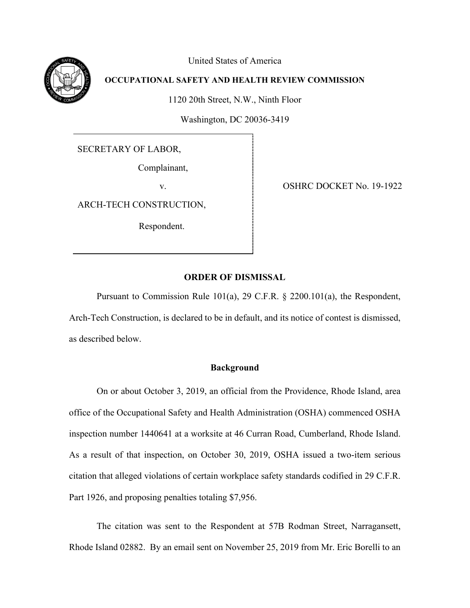United States of America

# **OCCUPATIONAL SAFETY AND HEALTH REVIEW COMMISSION**

1120 20th Street, N.W., Ninth Floor

Washington, DC 20036-3419

SECRETARY OF LABOR,

Complainant,

ARCH-TECH CONSTRUCTION,

Respondent.

v. OSHRC DOCKET No. 19-1922

### **ORDER OF DISMISSAL**

Pursuant to Commission Rule 101(a), 29 C.F.R. § 2200.101(a), the Respondent, Arch-Tech Construction, is declared to be in default, and its notice of contest is dismissed, as described below.

### **Background**

On or about October 3, 2019, an official from the Providence, Rhode Island, area office of the Occupational Safety and Health Administration (OSHA) commenced OSHA inspection number 1440641 at a worksite at 46 Curran Road, Cumberland, Rhode Island. As a result of that inspection, on October 30, 2019, OSHA issued a two-item serious citation that alleged violations of certain workplace safety standards codified in 29 C.F.R. Part 1926, and proposing penalties totaling \$7,956.

The citation was sent to the Respondent at 57B Rodman Street, Narragansett, Rhode Island 02882. By an email sent on November 25, 2019 from Mr. Eric Borelli to an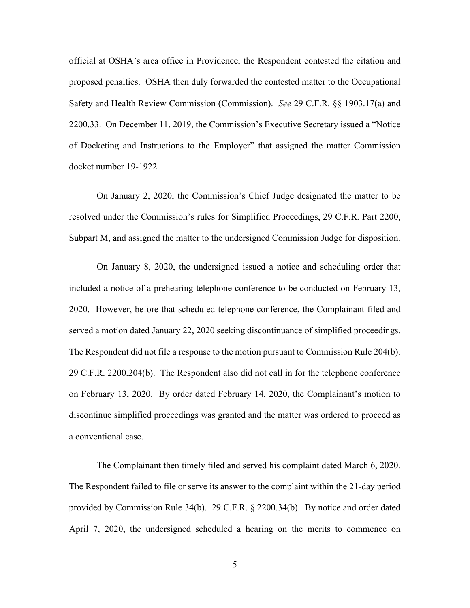official at OSHA's area office in Providence, the Respondent contested the citation and proposed penalties. OSHA then duly forwarded the contested matter to the Occupational Safety and Health Review Commission (Commission). *See* 29 C.F.R. §§ 1903.17(a) and 2200.33. On December 11, 2019, the Commission's Executive Secretary issued a "Notice of Docketing and Instructions to the Employer" that assigned the matter Commission docket number 19-1922.

On January 2, 2020, the Commission's Chief Judge designated the matter to be resolved under the Commission's rules for Simplified Proceedings, 29 C.F.R. Part 2200, Subpart M, and assigned the matter to the undersigned Commission Judge for disposition.

On January 8, 2020, the undersigned issued a notice and scheduling order that included a notice of a prehearing telephone conference to be conducted on February 13, 2020. However, before that scheduled telephone conference, the Complainant filed and served a motion dated January 22, 2020 seeking discontinuance of simplified proceedings. The Respondent did not file a response to the motion pursuant to Commission Rule 204(b). 29 C.F.R. 2200.204(b). The Respondent also did not call in for the telephone conference on February 13, 2020. By order dated February 14, 2020, the Complainant's motion to discontinue simplified proceedings was granted and the matter was ordered to proceed as a conventional case.

The Complainant then timely filed and served his complaint dated March 6, 2020. The Respondent failed to file or serve its answer to the complaint within the 21-day period provided by Commission Rule 34(b). 29 C.F.R. § 2200.34(b). By notice and order dated April 7, 2020, the undersigned scheduled a hearing on the merits to commence on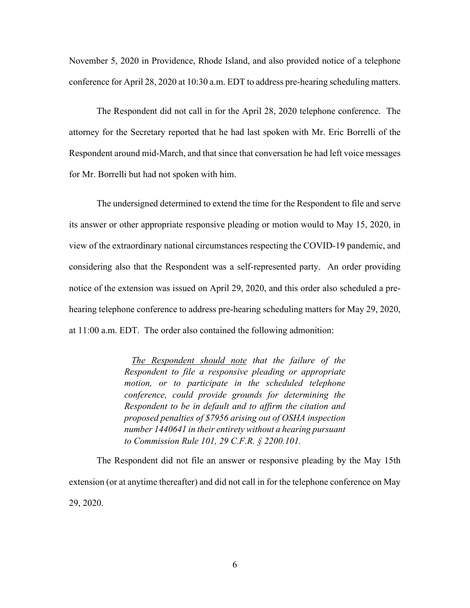November 5, 2020 in Providence, Rhode Island, and also provided notice of a telephone conference for April 28, 2020 at 10:30 a.m. EDT to address pre-hearing scheduling matters.

The Respondent did not call in for the April 28, 2020 telephone conference. The attorney for the Secretary reported that he had last spoken with Mr. Eric Borrelli of the Respondent around mid-March, and that since that conversation he had left voice messages for Mr. Borrelli but had not spoken with him.

The undersigned determined to extend the time for the Respondent to file and serve its answer or other appropriate responsive pleading or motion would to May 15, 2020, in view of the extraordinary national circumstances respecting the COVID-19 pandemic, and considering also that the Respondent was a self-represented party. An order providing notice of the extension was issued on April 29, 2020, and this order also scheduled a prehearing telephone conference to address pre-hearing scheduling matters for May 29, 2020, at 11:00 a.m. EDT. The order also contained the following admonition:

> *The Respondent should note that the failure of the Respondent to file a responsive pleading or appropriate motion, or to participate in the scheduled telephone conference, could provide grounds for determining the Respondent to be in default and to affirm the citation and proposed penalties of \$7956 arising out of OSHA inspection number 1440641 in their entirety without a hearing pursuant to Commission Rule 101, 29 C.F.R. § 2200.101.*

The Respondent did not file an answer or responsive pleading by the May 15th extension (or at anytime thereafter) and did not call in for the telephone conference on May 29, 2020.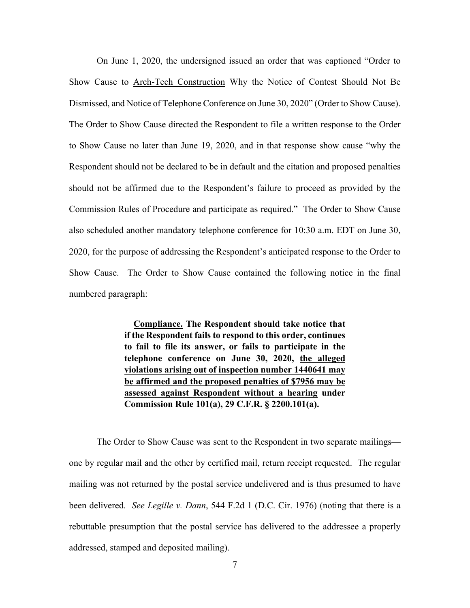On June 1, 2020, the undersigned issued an order that was captioned "Order to Show Cause to Arch-Tech Construction Why the Notice of Contest Should Not Be Dismissed, and Notice of Telephone Conference on June 30, 2020" (Order to Show Cause). The Order to Show Cause directed the Respondent to file a written response to the Order to Show Cause no later than June 19, 2020, and in that response show cause "why the Respondent should not be declared to be in default and the citation and proposed penalties should not be affirmed due to the Respondent's failure to proceed as provided by the Commission Rules of Procedure and participate as required." The Order to Show Cause also scheduled another mandatory telephone conference for 10:30 a.m. EDT on June 30, 2020, for the purpose of addressing the Respondent's anticipated response to the Order to Show Cause. The Order to Show Cause contained the following notice in the final numbered paragraph:

> **Compliance. The Respondent should take notice that if the Respondent fails to respond to this order, continues to fail to file its answer, or fails to participate in the telephone conference on June 30, 2020, the alleged violations arising out of inspection number 1440641 may be affirmed and the proposed penalties of \$7956 may be assessed against Respondent without a hearing under Commission Rule 101(a), 29 C.F.R. § 2200.101(a).**

The Order to Show Cause was sent to the Respondent in two separate mailings one by regular mail and the other by certified mail, return receipt requested. The regular mailing was not returned by the postal service undelivered and is thus presumed to have been delivered. *See Legille v. Dann*, 544 F.2d 1 (D.C. Cir. 1976) (noting that there is a rebuttable presumption that the postal service has delivered to the addressee a properly addressed, stamped and deposited mailing).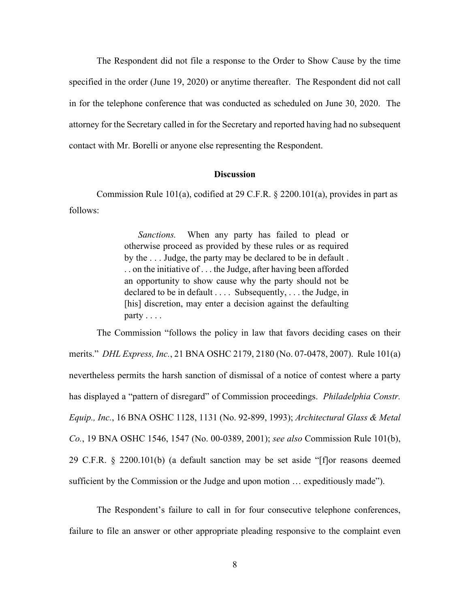The Respondent did not file a response to the Order to Show Cause by the time specified in the order (June 19, 2020) or anytime thereafter. The Respondent did not call in for the telephone conference that was conducted as scheduled on June 30, 2020. The attorney for the Secretary called in for the Secretary and reported having had no subsequent contact with Mr. Borelli or anyone else representing the Respondent.

#### **Discussion**

Commission Rule 101(a), codified at 29 C.F.R. § 2200.101(a), provides in part as follows:

> *Sanctions.* When any party has failed to plead or otherwise proceed as provided by these rules or as required by the . . . Judge, the party may be declared to be in default . . . on the initiative of . . . the Judge, after having been afforded an opportunity to show cause why the party should not be declared to be in default .... Subsequently, ... the Judge, in [his] discretion, may enter a decision against the defaulting party . . . .

The Commission "follows the policy in law that favors deciding cases on their merits." *DHL Express, Inc.*, 21 BNA OSHC 2179, 2180 (No. 07-0478, 2007). Rule 101(a) nevertheless permits the harsh sanction of dismissal of a notice of contest where a party has displayed a "pattern of disregard" of Commission proceedings. *Philadelphia Constr. Equip., Inc.*, 16 BNA OSHC 1128, 1131 (No. 92-899, 1993); *Architectural Glass & Metal Co.*, 19 BNA OSHC 1546, 1547 (No. 00-0389, 2001); *see also* Commission Rule 101(b), 29 C.F.R. § 2200.101(b) (a default sanction may be set aside "[f]or reasons deemed sufficient by the Commission or the Judge and upon motion … expeditiously made").

The Respondent's failure to call in for four consecutive telephone conferences, failure to file an answer or other appropriate pleading responsive to the complaint even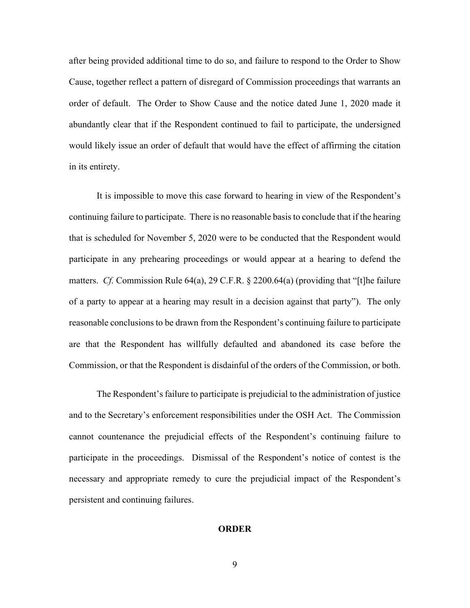after being provided additional time to do so, and failure to respond to the Order to Show Cause, together reflect a pattern of disregard of Commission proceedings that warrants an order of default. The Order to Show Cause and the notice dated June 1, 2020 made it abundantly clear that if the Respondent continued to fail to participate, the undersigned would likely issue an order of default that would have the effect of affirming the citation in its entirety.

It is impossible to move this case forward to hearing in view of the Respondent's continuing failure to participate. There is no reasonable basis to conclude that if the hearing that is scheduled for November 5, 2020 were to be conducted that the Respondent would participate in any prehearing proceedings or would appear at a hearing to defend the matters. *Cf.* Commission Rule 64(a), 29 C.F.R. § 2200.64(a) (providing that "[t]he failure of a party to appear at a hearing may result in a decision against that party"). The only reasonable conclusions to be drawn from the Respondent's continuing failure to participate are that the Respondent has willfully defaulted and abandoned its case before the Commission, or that the Respondent is disdainful of the orders of the Commission, or both.

The Respondent's failure to participate is prejudicial to the administration of justice and to the Secretary's enforcement responsibilities under the OSH Act. The Commission cannot countenance the prejudicial effects of the Respondent's continuing failure to participate in the proceedings. Dismissal of the Respondent's notice of contest is the necessary and appropriate remedy to cure the prejudicial impact of the Respondent's persistent and continuing failures.

#### **ORDER**